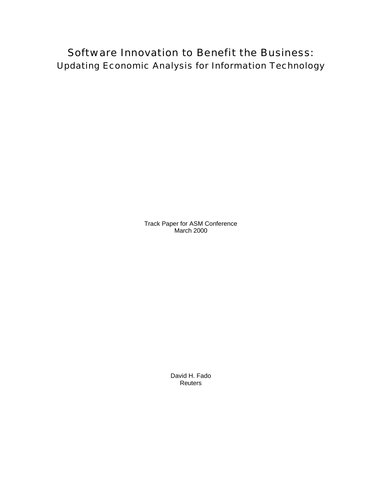Software Innovation to Benefit the Business: Updating Economic Analysis for Information Technology

> Track Paper for ASM Conference March 2000

> > David H. Fado Reuters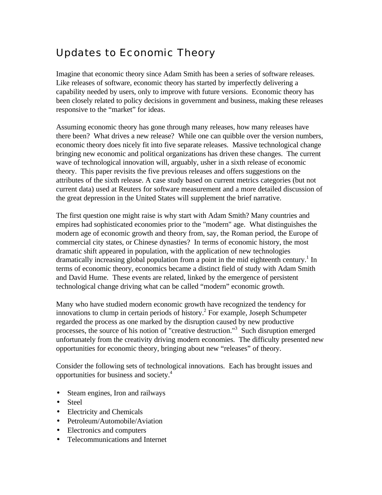# Updates to Economic Theory

Imagine that economic theory since Adam Smith has been a series of software releases. Like releases of software, economic theory has started by imperfectly delivering a capability needed by users, only to improve with future versions. Economic theory has been closely related to policy decisions in government and business, making these releases responsive to the "market" for ideas.

Assuming economic theory has gone through many releases, how many releases have there been? What drives a new release? While one can quibble over the version numbers, economic theory does nicely fit into five separate releases. Massive technological change bringing new economic and political organizations has driven these changes. The current wave of technological innovation will, arguably, usher in a sixth release of economic theory. This paper revisits the five previous releases and offers suggestions on the attributes of the sixth release. A case study based on current metrics categories (but not current data) used at Reuters for software measurement and a more detailed discussion of the great depression in the United States will supplement the brief narrative.

The first question one might raise is why start with Adam Smith? Many countries and empires had sophisticated economies prior to the "modern" age. What distinguishes the modern age of economic growth and theory from, say, the Roman period, the Europe of commercial city states, or Chinese dynasties? In terms of economic history, the most dramatic shift appeared in population, with the application of new technologies dramatically increasing global population from a point in the mid eighteenth century.<sup>1</sup> In terms of economic theory, economics became a distinct field of study with Adam Smith and David Hume. These events are related, linked by the emergence of persistent technological change driving what can be called "modern" economic growth.

Many who have studied modern economic growth have recognized the tendency for innovations to clump in certain periods of history.<sup>2</sup> For example, Joseph Schumpeter regarded the process as one marked by the disruption caused by new productive processes, the source of his notion of "creative destruction."<sup>3</sup> Such disruption emerged unfortunately from the creativity driving modern economies. The difficulty presented new opportunities for economic theory, bringing about new "releases" of theory.

Consider the following sets of technological innovations. Each has brought issues and opportunities for business and society.<sup>4</sup>

- Steam engines, Iron and railways
- Steel
- Electricity and Chemicals
- Petroleum/Automobile/Aviation
- Electronics and computers
- Telecommunications and Internet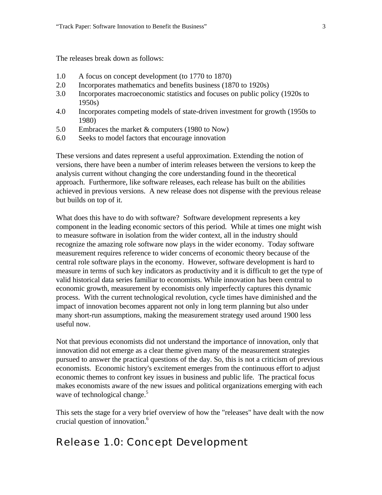The releases break down as follows:

- 1.0 A focus on concept development (to 1770 to 1870)
- 2.0 Incorporates mathematics and benefits business (1870 to 1920s)
- 3.0 Incorporates macroeconomic statistics and focuses on public policy (1920s to 1950s)
- 4.0 Incorporates competing models of state-driven investment for growth (1950s to 1980)
- 5.0 Embraces the market & computers (1980 to Now)
- 6.0 Seeks to model factors that encourage innovation

These versions and dates represent a useful approximation. Extending the notion of versions, there have been a number of interim releases between the versions to keep the analysis current without changing the core understanding found in the theoretical approach. Furthermore, like software releases, each release has built on the abilities achieved in previous versions. A new release does not dispense with the previous release but builds on top of it.

What does this have to do with software? Software development represents a key component in the leading economic sectors of this period. While at times one might wish to measure software in isolation from the wider context, all in the industry should recognize the amazing role software now plays in the wider economy. Today software measurement requires reference to wider concerns of economic theory because of the central role software plays in the economy. However, software development is hard to measure in terms of such key indicators as productivity and it is difficult to get the type of valid historical data series familiar to economists. While innovation has been central to economic growth, measurement by economists only imperfectly captures this dynamic process. With the current technological revolution, cycle times have diminished and the impact of innovation becomes apparent not only in long term planning but also under many short-run assumptions, making the measurement strategy used around 1900 less useful now.

Not that previous economists did not understand the importance of innovation, only that innovation did not emerge as a clear theme given many of the measurement strategies pursued to answer the practical questions of the day. So, this is not a criticism of previous economists. Economic history's excitement emerges from the continuous effort to adjust economic themes to confront key issues in business and public life. The practical focus makes economists aware of the new issues and political organizations emerging with each wave of technological change.<sup>5</sup>

This sets the stage for a very brief overview of how the "releases" have dealt with the now crucial question of innovation.<sup>6</sup>

## Release 1.0: Concept Development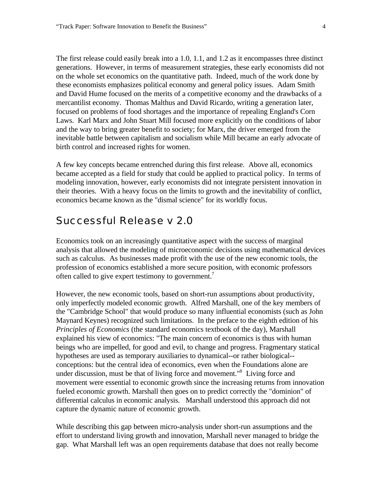The first release could easily break into a 1.0, 1.1, and 1.2 as it encompasses three distinct generations. However, in terms of measurement strategies, these early economists did not on the whole set economics on the quantitative path. Indeed, much of the work done by these economists emphasizes political economy and general policy issues. Adam Smith and David Hume focused on the merits of a competitive economy and the drawbacks of a mercantilist economy. Thomas Malthus and David Ricardo, writing a generation later, focused on problems of food shortages and the importance of repealing England's Corn Laws. Karl Marx and John Stuart Mill focused more explicitly on the conditions of labor and the way to bring greater benefit to society; for Marx, the driver emerged from the inevitable battle between capitalism and socialism while Mill became an early advocate of birth control and increased rights for women.

A few key concepts became entrenched during this first release. Above all, economics became accepted as a field for study that could be applied to practical policy. In terms of modeling innovation, however, early economists did not integrate persistent innovation in their theories. With a heavy focus on the limits to growth and the inevitability of conflict, economics became known as the "dismal science" for its worldly focus.

#### Successful Release v 2.0

Economics took on an increasingly quantitative aspect with the success of marginal analysis that allowed the modeling of microeconomic decisions using mathematical devices such as calculus. As businesses made profit with the use of the new economic tools, the profession of economics established a more secure position, with economic professors often called to give expert testimony to government.<sup>7</sup>

However, the new economic tools, based on short-run assumptions about productivity, only imperfectly modeled economic growth. Alfred Marshall, one of the key members of the "Cambridge School" that would produce so many influential economists (such as John Maynard Keynes) recognized such limitations. In the preface to the eighth edition of his *Principles of Economics* (the standard economics textbook of the day), Marshall explained his view of economics: "The main concern of economics is thus with human beings who are impelled, for good and evil, to change and progress. Fragmentary statical hypotheses are used as temporary auxiliaries to dynamical--or rather biological- conceptions: but the central idea of economics, even when the Foundations alone are under discussion, must be that of living force and movement."<sup>8</sup> Living force and movement were essential to economic growth since the increasing returns from innovation fueled economic growth. Marshall then goes on to predict correctly the "dominion" of differential calculus in economic analysis. Marshall understood this approach did not capture the dynamic nature of economic growth.

While describing this gap between micro-analysis under short-run assumptions and the effort to understand living growth and innovation, Marshall never managed to bridge the gap. What Marshall left was an open requirements database that does not really become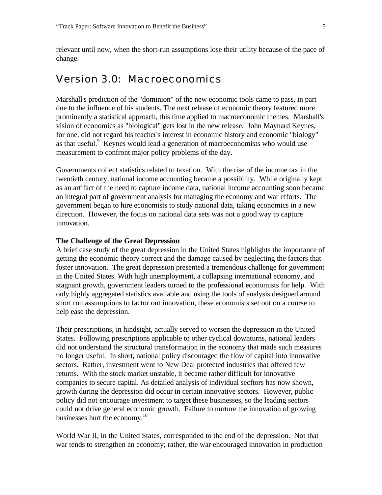relevant until now, when the short-run assumptions lose their utility because of the pace of change.

#### Version 3.0: Macroeconomics

Marshall's prediction of the "dominion" of the new economic tools came to pass, in part due to the influence of his students. The next release of economic theory featured more prominently a statistical approach, this time applied to macroeconomic themes. Marshall's vision of economics as "biological" gets lost in the new release. John Maynard Keynes, for one, did not regard his teacher's interest in economic history and economic "biology" as that useful. $9$  Keynes would lead a generation of macroeconomists who would use measurement to confront major policy problems of the day.

Governments collect statistics related to taxation. With the rise of the income tax in the twentieth century, national income accounting became a possibility. While originally kept as an artifact of the need to capture income data, national income accounting soon became an integral part of government analysis for managing the economy and war efforts. The government began to hire economists to study national data, taking economics in a new direction. However, the focus on national data sets was not a good way to capture innovation.

#### **The Challenge of the Great Depression**

A brief case study of the great depression in the United States highlights the importance of getting the economic theory correct and the damage caused by neglecting the factors that foster innovation. The great depression presented a tremendous challenge for government in the United States. With high unemployment, a collapsing international economy, and stagnant growth, government leaders turned to the professional economists for help. With only highly aggregated statistics available and using the tools of analysis designed around short run assumptions to factor out innovation, these economists set out on a course to help ease the depression.

Their prescriptions, in hindsight, actually served to worsen the depression in the United States. Following prescriptions applicable to other cyclical downturns, national leaders did not understand the structural transformation in the economy that made such measures no longer useful. In short, national policy discouraged the flow of capital into innovative sectors. Rather, investment went to New Deal protected industries that offered few returns. With the stock market unstable, it became rather difficult for innovative companies to secure capital. As detailed analysis of individual secftors has now shown, growth during the depression did occur in certain innovative sectors. However, public policy did not encourage investment to target these businesses, so the leading sectors could not drive general economic growth. Failure to nurture the innovation of growing businesses hurt the economy. $10$ 

World War II, in the United States, corresponded to the end of the depression. Not that war tends to strengthen an economy; rather, the war encouraged innovation in production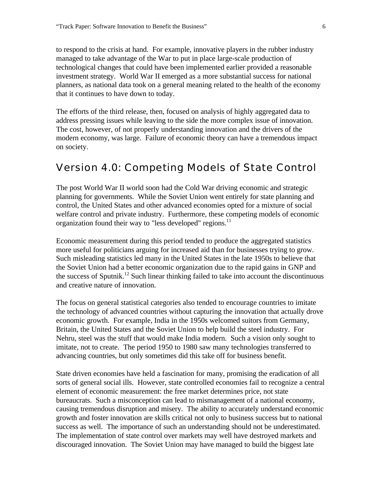to respond to the crisis at hand. For example, innovative players in the rubber industry managed to take advantage of the War to put in place large-scale production of technological changes that could have been implemented earlier provided a reasonable investment strategy. World War II emerged as a more substantial success for national planners, as national data took on a general meaning related to the health of the economy that it continues to have down to today.

The efforts of the third release, then, focused on analysis of highly aggregated data to address pressing issues while leaving to the side the more complex issue of innovation. The cost, however, of not properly understanding innovation and the drivers of the modern economy, was large. Failure of economic theory can have a tremendous impact on society.

#### Version 4.0: Competing Models of State Control

The post World War II world soon had the Cold War driving economic and strategic planning for governments. While the Soviet Union went entirely for state planning and control, the United States and other advanced economies opted for a mixture of social welfare control and private industry. Furthermore, these competing models of economic organization found their way to "less developed" regions.<sup>11</sup>

Economic measurement during this period tended to produce the aggregated statistics more useful for politicians arguing for increased aid than for businesses trying to grow. Such misleading statistics led many in the United States in the late 1950s to believe that the Soviet Union had a better economic organization due to the rapid gains in GNP and the success of Sputnik.<sup>12</sup> Such linear thinking failed to take into account the discontinuous and creative nature of innovation.

The focus on general statistical categories also tended to encourage countries to imitate the technology of advanced countries without capturing the innovation that actually drove economic growth. For example, India in the 1950s welcomed suitors from Germany, Britain, the United States and the Soviet Union to help build the steel industry. For Nehru, steel was the stuff that would make India modern. Such a vision only sought to imitate, not to create. The period 1950 to 1980 saw many technologies transferred to advancing countries, but only sometimes did this take off for business benefit.

State driven economies have held a fascination for many, promising the eradication of all sorts of general social ills. However, state controlled economies fail to recognize a central element of economic measurement: the free market determines price, not state bureaucrats. Such a misconception can lead to mismanagement of a national economy, causing tremendous disruption and misery. The ability to accurately understand economic growth and foster innovation are skills critical not only to business success but to national success as well. The importance of such an understanding should not be underestimated. The implementation of state control over markets may well have destroyed markets and discouraged innovation. The Soviet Union may have managed to build the biggest late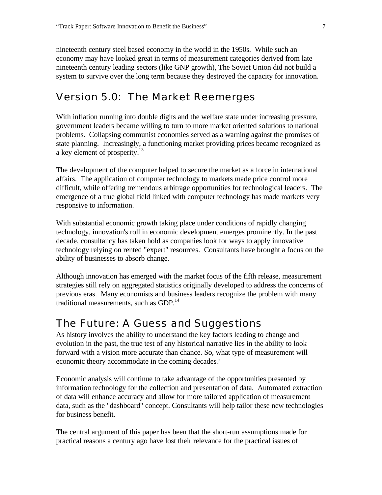nineteenth century steel based economy in the world in the 1950s. While such an economy may have looked great in terms of measurement categories derived from late nineteenth century leading sectors (like GNP growth), The Soviet Union did not build a system to survive over the long term because they destroyed the capacity for innovation.

#### Version 5.0: The Market Reemerges

With inflation running into double digits and the welfare state under increasing pressure, government leaders became willing to turn to more market oriented solutions to national problems. Collapsing communist economies served as a warning against the promises of state planning. Increasingly, a functioning market providing prices became recognized as a key element of prosperity.<sup>13</sup>

The development of the computer helped to secure the market as a force in international affairs. The application of computer technology to markets made price control more difficult, while offering tremendous arbitrage opportunities for technological leaders. The emergence of a true global field linked with computer technology has made markets very responsive to information.

With substantial economic growth taking place under conditions of rapidly changing technology, innovation's roll in economic development emerges prominently. In the past decade, consultancy has taken hold as companies look for ways to apply innovative technology relying on rented "expert" resources. Consultants have brought a focus on the ability of businesses to absorb change.

Although innovation has emerged with the market focus of the fifth release, measurement strategies still rely on aggregated statistics originally developed to address the concerns of previous eras. Many economists and business leaders recognize the problem with many traditional measurements, such as  $GDP<sup>14</sup>$ 

#### The Future: A Guess and Suggestions

As history involves the ability to understand the key factors leading to change and evolution in the past, the true test of any historical narrative lies in the ability to look forward with a vision more accurate than chance. So, what type of measurement will economic theory accommodate in the coming decades?

Economic analysis will continue to take advantage of the opportunities presented by information technology for the collection and presentation of data. Automated extraction of data will enhance accuracy and allow for more tailored application of measurement data, such as the "dashboard" concept. Consultants will help tailor these new technologies for business benefit.

The central argument of this paper has been that the short-run assumptions made for practical reasons a century ago have lost their relevance for the practical issues of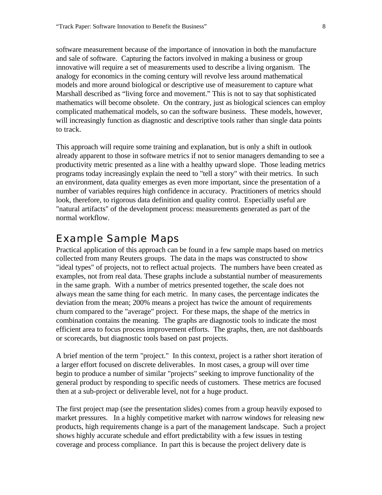software measurement because of the importance of innovation in both the manufacture and sale of software. Capturing the factors involved in making a business or group innovative will require a set of measurements used to describe a living organism. The analogy for economics in the coming century will revolve less around mathematical models and more around biological or descriptive use of measurement to capture what Marshall described as "living force and movement." This is not to say that sophisticated mathematics will become obsolete. On the contrary, just as biological sciences can employ complicated mathematical models, so can the software business. These models, however, will increasingly function as diagnostic and descriptive tools rather than single data points to track.

This approach will require some training and explanation, but is only a shift in outlook already apparent to those in software metrics if not to senior managers demanding to see a productivity metric presented as a line with a healthy upward slope. Those leading metrics programs today increasingly explain the need to "tell a story" with their metrics. In such an environment, data quality emerges as even more important, since the presentation of a number of variables requires high confidence in accuracy. Practitioners of metrics should look, therefore, to rigorous data definition and quality control. Especially useful are "natural artifacts" of the development process: measurements generated as part of the normal workflow.

#### Example Sample Maps

Practical application of this approach can be found in a few sample maps based on metrics collected from many Reuters groups. The data in the maps was constructed to show "ideal types" of projects, not to reflect actual projects. The numbers have been created as examples, not from real data. These graphs include a substantial number of measurements in the same graph. With a number of metrics presented together, the scale does not always mean the same thing for each metric. In many cases, the percentage indicates the deviation from the mean; 200% means a project has twice the amount of requirements churn compared to the "average" project. For these maps, the shape of the metrics in combination contains the meaning. The graphs are diagnostic tools to indicate the most efficient area to focus process improvement efforts. The graphs, then, are not dashboards or scorecards, but diagnostic tools based on past projects.

A brief mention of the term "project." In this context, project is a rather short iteration of a larger effort focused on discrete deliverables. In most cases, a group will over time begin to produce a number of similar "projects" seeking to improve functionality of the general product by responding to specific needs of customers. These metrics are focused then at a sub-project or deliverable level, not for a huge product.

The first project map (see the presentation slides) comes from a group heavily exposed to market pressures. In a highly competitive market with narrow windows for releasing new products, high requirements change is a part of the management landscape. Such a project shows highly accurate schedule and effort predictability with a few issues in testing coverage and process compliance. In part this is because the project delivery date is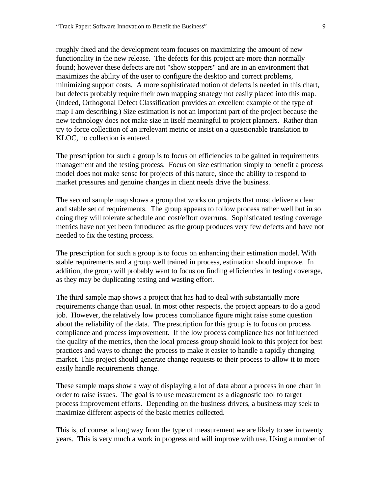roughly fixed and the development team focuses on maximizing the amount of new functionality in the new release. The defects for this project are more than normally found; however these defects are not "show stoppers" and are in an environment that maximizes the ability of the user to configure the desktop and correct problems, minimizing support costs. A more sophisticated notion of defects is needed in this chart, but defects probably require their own mapping strategy not easily placed into this map. (Indeed, Orthogonal Defect Classification provides an excellent example of the type of map I am describing.) Size estimation is not an important part of the project because the new technology does not make size in itself meaningful to project planners. Rather than try to force collection of an irrelevant metric or insist on a questionable translation to KLOC, no collection is entered.

The prescription for such a group is to focus on efficiencies to be gained in requirements management and the testing process. Focus on size estimation simply to benefit a process model does not make sense for projects of this nature, since the ability to respond to market pressures and genuine changes in client needs drive the business.

The second sample map shows a group that works on projects that must deliver a clear and stable set of requirements. The group appears to follow process rather well but in so doing they will tolerate schedule and cost/effort overruns. Sophisticated testing coverage metrics have not yet been introduced as the group produces very few defects and have not needed to fix the testing process.

The prescription for such a group is to focus on enhancing their estimation model. With stable requirements and a group well trained in process, estimation should improve. In addition, the group will probably want to focus on finding efficiencies in testing coverage, as they may be duplicating testing and wasting effort.

The third sample map shows a project that has had to deal with substantially more requirements change than usual. In most other respects, the project appears to do a good job. However, the relatively low process compliance figure might raise some question about the reliability of the data. The prescription for this group is to focus on process compliance and process improvement. If the low process compliance has not influenced the quality of the metrics, then the local process group should look to this project for best practices and ways to change the process to make it easier to handle a rapidly changing market. This project should generate change requests to their process to allow it to more easily handle requirements change.

These sample maps show a way of displaying a lot of data about a process in one chart in order to raise issues. The goal is to use measurement as a diagnostic tool to target process improvement efforts. Depending on the business drivers, a business may seek to maximize different aspects of the basic metrics collected.

This is, of course, a long way from the type of measurement we are likely to see in twenty years. This is very much a work in progress and will improve with use. Using a number of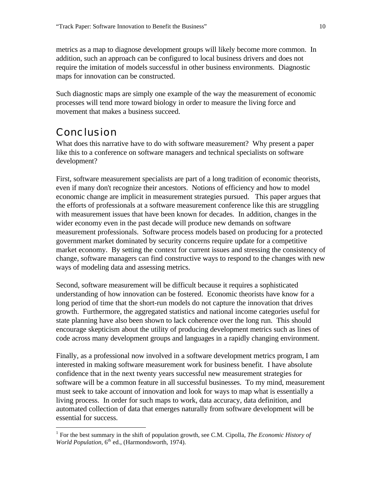metrics as a map to diagnose development groups will likely become more common. In addition, such an approach can be configured to local business drivers and does not require the imitation of models successful in other business environments. Diagnostic maps for innovation can be constructed.

Such diagnostic maps are simply one example of the way the measurement of economic processes will tend more toward biology in order to measure the living force and movement that makes a business succeed.

### Conclusion

 $\overline{a}$ 

What does this narrative have to do with software measurement? Why present a paper like this to a conference on software managers and technical specialists on software development?

First, software measurement specialists are part of a long tradition of economic theorists, even if many don't recognize their ancestors. Notions of efficiency and how to model economic change are implicit in measurement strategies pursued. This paper argues that the efforts of professionals at a software measurement conference like this are struggling with measurement issues that have been known for decades. In addition, changes in the wider economy even in the past decade will produce new demands on software measurement professionals. Software process models based on producing for a protected government market dominated by security concerns require update for a competitive market economy. By setting the context for current issues and stressing the consistency of change, software managers can find constructive ways to respond to the changes with new ways of modeling data and assessing metrics.

Second, software measurement will be difficult because it requires a sophisticated understanding of how innovation can be fostered. Economic theorists have know for a long period of time that the short-run models do not capture the innovation that drives growth. Furthermore, the aggregated statistics and national income categories useful for state planning have also been shown to lack coherence over the long run. This should encourage skepticism about the utility of producing development metrics such as lines of code across many development groups and languages in a rapidly changing environment.

Finally, as a professional now involved in a software development metrics program, I am interested in making software measurement work for business benefit. I have absolute confidence that in the next twenty years successful new measurement strategies for software will be a common feature in all successful businesses. To my mind, measurement must seek to take account of innovation and look for ways to map what is essentially a living process. In order for such maps to work, data accuracy, data definition, and automated collection of data that emerges naturally from software development will be essential for success.

<sup>&</sup>lt;sup>1</sup> For the best summary in the shift of population growth, see C.M. Cipolla, *The Economic History of* World Population, 6<sup>th</sup> ed., (Harmondsworth, 1974).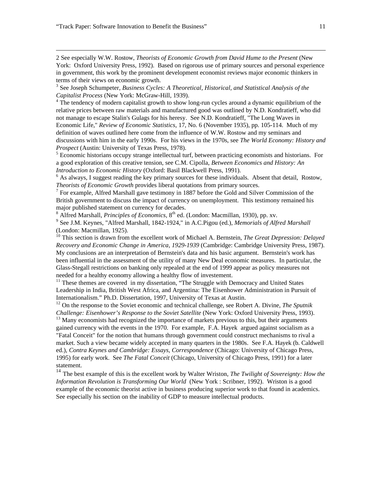$\overline{a}$ 

2 See especially W.W. Rostow, *Theorists of Economic Growth from David Hume to the Present* (New York: Oxford University Press, 1992). Based on rigorous use of primary sources and personal experience in government, this work by the prominent development economist reviews major economic thinkers in terms of their views on economic growth.

3 See Joseph Schumpeter, *Business Cycles: A Theoretical, Historical, and Statistical Analysis of the Capitalist Process* (New York: McGraw-Hill, 1939).

<sup>4</sup> The tendency of modern capitalist growth to show long-run cycles around a dynamic equilibrium of the relative prices between raw materials and manufactured good was outlined by N.D. Kondratieff, who did not manage to escape Stalin's Gulags for his heresy. See N.D. Kondratieff, "The Long Waves in Economic Life," *Review of Economic Statistics,* 17, No. 6 (November 1935), pp. 105-114. Much of my definition of waves outlined here come from the influence of W.W. Rostow and my seminars and discussions with him in the early 1990s. For his views in the 1970s, see *The World Economy: History and Prospect* (Austin: University of Texas Press, 1978).

<sup>5</sup> Economic historians occupy strange intellectual turf, between practicing economists and historians. For a good exploration of this creative tension, see C.M. Cipolla, *Between Economics and History: An Introduction to Economic History* (Oxford: Basil Blackwell Press, 1991).

<sup>6</sup> As always, I suggest reading the key primary sources for these individuals. Absent that detail, Rostow, *Theorists of Economic Growth* provides liberal quotations from primary sources.

 $<sup>7</sup>$  For example, Alfred Marshall gave testimony in 1887 before the Gold and Silver Commission of the</sup> British government to discuss the impact of currency on unemployment. This testimony remained his major published statement on currency for decades.

<sup>8</sup> Alfred Marshall, *Principles of Economics*, 8<sup>th</sup> ed. (London: Macmillan, 1930), pp. xv. 9 See J.M. Keynes, "Alfred Marshall, 1842-1924," in A.C.Pigou (ed.), *Memorials of Alfred Marshall* (London: Macmillan, 1925).

<sup>10</sup> This section is drawn from the excellent work of Michael A. Bernstein, *The Great Depression: Delayed Recovery and Economic Change in America, 1929-1939* (Cambridge: Cambridge University Press, 1987). My conclusions are an interpretation of Bernstein's data and his basic argument. Bernstein's work has been influential in the assessment of the utility of many New Deal economic measures. In particular, the Glass-Stegall restrictions on banking only repealed at the end of 1999 appear as policy measures not needed for a healthy economy allowing a healthy flow of investement.

 $11$  These themes are covered in my dissertation, "The Struggle with Democracy and United States Leadership in India, British West Africa, and Argentina: The Eisenhower Administration in Pursuit of Internationalism." Ph.D. Dissertation, 1997, University of Texas at Austin.

<sup>12</sup> On the response to the Soviet economic and technical challenge, see Robert A. Divine, *The Sputnik Challenge: Eisenhower's Response to the Soviet Satellite* (New York: Oxford University Press, 1993).

<sup>13</sup> Many economists had recognized the importance of markets previous to this, but their arguments gained currency with the events in the 1970. For example, F.A. Hayek argued against socialism as a "Fatal Conceit" for the notion that humans through government could construct mechanisms to rival a market. Such a view became widely accepted in many quarters in the 1980s. See F.A. Hayek (b. Caldwell ed.), *Contra Keynes and Cambridge: Essays, Correspondence* (Chicago: University of Chicago Press, 1995) for early work. See *The Fatal Conceit* (Chicago, University of Chicago Press, 1991) for a later statement.

<sup>14</sup> The best example of this is the excellent work by Walter Wriston, *The Twilight of Sovereignty: How the Information Revolution is Transforming Our World* (New York : Scribner, 1992). Wriston is a good example of the economic theorist active in business producing superior work to that found in academics. See especially his section on the inability of GDP to measure intellectual products.